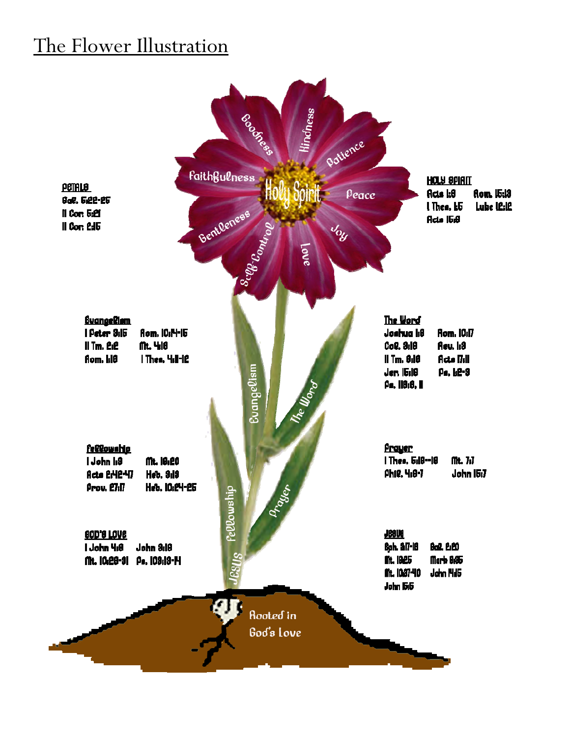## The Flower Illustration

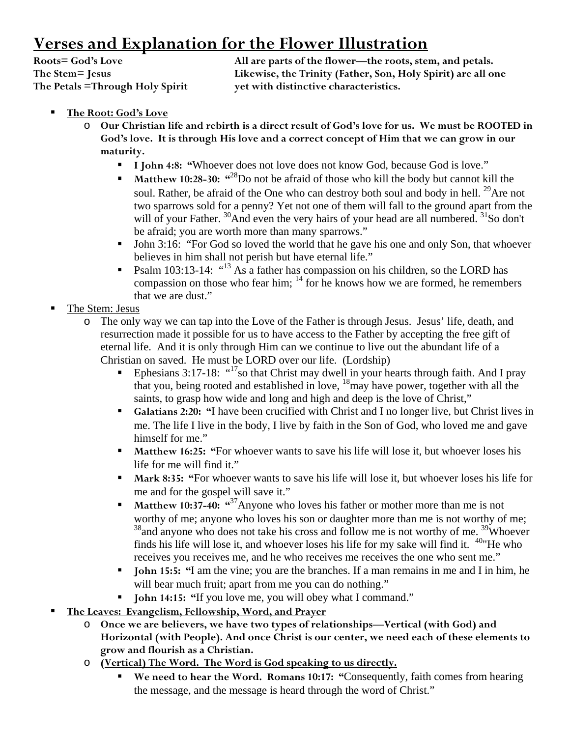## **Verses and Explanation for the Flower Illustration**

**The Petals =Through Holy Spirit yet with distinctive characteristics.** 

**Roots= God's Love All are parts of the flower—the roots, stem, and petals. The Stem= Jesus Likewise, the Trinity (Father, Son, Holy Spirit) are all one** 

- **The Root: God's Love**
	- o **Our Christian life and rebirth is a direct result of God's love for us. We must be ROOTED in God's love. It is through His love and a correct concept of Him that we can grow in our maturity.** 
		- I John 4:8: "Whoever does not love does not know God, because God is love."
		- **Matthew 10:28-30:** "<sup>28</sup>Do not be afraid of those who kill the body but cannot kill the soul. Rather, be afraid of the One who can destroy both soul and body in hell.  $^{29}$ Are not two sparrows sold for a penny? Yet not one of them will fall to the ground apart from the will of your Father. <sup>30</sup>And even the very hairs of your head are all numbered. <sup>31</sup>So don't be afraid; you are worth more than many sparrows."
		- John 3:16: "For God so loved the world that he gave his one and only Son, that whoever believes in him shall not perish but have eternal life."
		- **Psalm 103:13-14:**  $\cdot$ <sup>413</sup> As a father has compassion on his children, so the LORD has compassion on those who fear him;  $^{14}$  for he knows how we are formed, he remembers that we are dust."
- The Stem: Jesus
	- o The only way we can tap into the Love of the Father is through Jesus. Jesus' life, death, and resurrection made it possible for us to have access to the Father by accepting the free gift of eternal life. And it is only through Him can we continue to live out the abundant life of a Christian on saved. He must be LORD over our life. (Lordship)
		- Ephesians  $3:17-18$ :  $17\frac{17}{8}$  that Christ may dwell in your hearts through faith. And I pray that you, being rooted and established in love, 18may have power, together with all the saints, to grasp how wide and long and high and deep is the love of Christ,"
		- **Galatians 2:20: "**I have been crucified with Christ and I no longer live, but Christ lives in me. The life I live in the body, I live by faith in the Son of God, who loved me and gave himself for me."
		- **Matthew 16:25: "For whoever wants to save his life will lose it, but whoever loses his** life for me will find it."
		- **Mark 8:35: "**For whoever wants to save his life will lose it, but whoever loses his life for me and for the gospel will save it."
		- **Matthew 10:37-40:** "<sup>37</sup>Anyone who loves his father or mother more than me is not worthy of me; anyone who loves his son or daughter more than me is not worthy of me;  $38$  and anyone who does not take his cross and follow me is not worthy of me.  $39$ Whoever finds his life will lose it, and whoever loses his life for my sake will find it.  $40$ <sup>n</sup>He who receives you receives me, and he who receives me receives the one who sent me."
		- **John 15:5:** "I am the vine; you are the branches. If a man remains in me and I in him, he will bear much fruit; apart from me you can do nothing."
		- **John 14:15: "**If you love me, you will obey what I command."
- **The Leaves: Evangelism, Fellowship, Word, and Prayer**
	- o **Once we are believers, we have two types of relationships—Vertical (with God) and Horizontal (with People). And once Christ is our center, we need each of these elements to grow and flourish as a Christian.**
	- o **(Vertical) The Word. The Word is God speaking to us directly.**
		- **We need to hear the Word. Romans 10:17: "**Consequently, faith comes from hearing the message, and the message is heard through the word of Christ."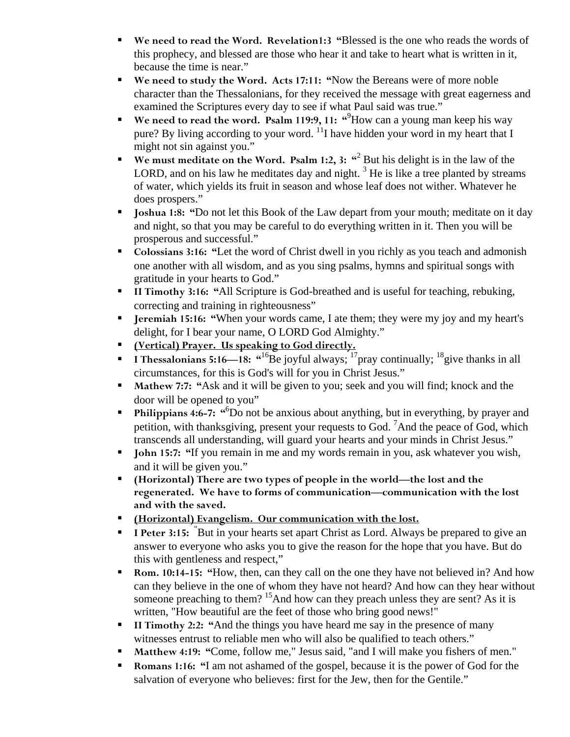- **We need to read the Word. Revelation1:3 "**Blessed is the one who reads the words of this prophecy, and blessed are those who hear it and take to heart what is written in it, because the time is near."
- **We need to study the Word. Acts 17:11: "**Now the Bereans were of more noble character than the Thessalonians, for they received the message with great eagerness and examined the Scriptures every day to see if what Paul said was true."
- **We need to read the word. Psalm 119:9, 11: "<sup>9</sup>How can a young man keep his way** pure? By living according to your word.  $\frac{11}{11}$  have hidden your word in my heart that I might not sin against you."
- **We must meditate on the Word. Psalm 1:2, 3:**  $\frac{a^2}{b}$  **But his delight is in the law of the** LORD, and on his law he meditates day and night.  $3$  He is like a tree planted by streams of water, which yields its fruit in season and whose leaf does not wither. Whatever he does prospers."
- **Joshua 1:8: "Do not let this Book of the Law depart from your mouth; meditate on it day** and night, so that you may be careful to do everything written in it. Then you will be prosperous and successful."
- **Colossians 3:16: "**Let the word of Christ dwell in you richly as you teach and admonish one another with all wisdom, and as you sing psalms, hymns and spiritual songs with gratitude in your hearts to God."
- **II Timothy 3:16: "**All Scripture is God-breathed and is useful for teaching, rebuking, correcting and training in righteousness"
- **Jeremiah 15:16: "**When your words came, I ate them; they were my joy and my heart's delight, for I bear your name, O LORD God Almighty."
- **(Vertical) Prayer. Us speaking to God directly.**
- **I I** Thessalonians 5:16—18: "<sup>16</sup>Be joyful always; <sup>17</sup> pray continually; <sup>18</sup> give thanks in all circumstances, for this is God's will for you in Christ Jesus."
- **Mathew 7:7: "**Ask and it will be given to you; seek and you will find; knock and the door will be opened to you"
- **Philippians 4:6-7:** "<sup>6</sup>Do not be anxious about anything, but in everything, by prayer and petition, with thanksgiving, present your requests to God.  ${}^{7}$ And the peace of God, which transcends all understanding, will guard your hearts and your minds in Christ Jesus."
- **John 15:7:** "If you remain in me and my words remain in you, ask whatever you wish, and it will be given you."
- **(Horizontal) There are two types of people in the world—the lost and the regenerated. We have to forms of communication—communication with the lost and with the saved.**
- **(Horizontal) Evangelism. Our communication with the lost.**
- **I Peter 3:15:** "But in your hearts set apart Christ as Lord. Always be prepared to give an answer to everyone who asks you to give the reason for the hope that you have. But do this with gentleness and respect,"
- **Rom. 10:14-15: "How, then, can they call on the one they have not believed in? And how** can they believe in the one of whom they have not heard? And how can they hear without someone preaching to them? <sup>15</sup>And how can they preach unless they are sent? As it is written, "How beautiful are the feet of those who bring good news!"
- **II Timothy 2:2: "And the things you have heard me say in the presence of many** witnesses entrust to reliable men who will also be qualified to teach others."
- **Matthew 4:19: "Come, follow me," Jesus said, "and I will make you fishers of men."**
- **Romans 1:16: "I am not ashamed of the gospel, because it is the power of God for the** salvation of everyone who believes: first for the Jew, then for the Gentile."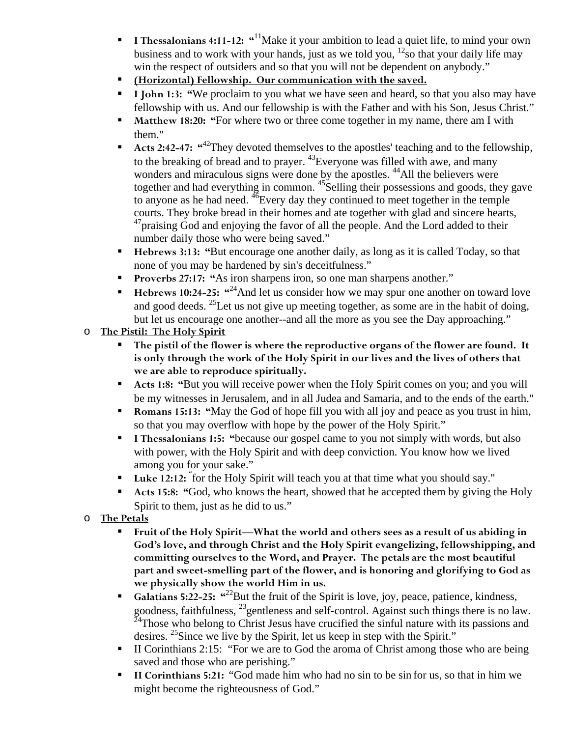- **I Thessalonians 4:11-12:** "<sup>11</sup>Make it your ambition to lead a quiet life, to mind your own business and to work with your hands, just as we told you,  $^{12}$  so that your daily life may win the respect of outsiders and so that you will not be dependent on anybody."
- **(Horizontal) Fellowship. Our communication with the saved.**
- I **John 1:3: "We proclaim to you what we have seen and heard, so that you also may have** fellowship with us. And our fellowship is with the Father and with his Son, Jesus Christ."
- **Matthew 18:20: "For where two or three come together in my name, there am I with** them."
- Acts 2:42-47: "<sup>42</sup>They devoted themselves to the apostles' teaching and to the fellowship, to the breaking of bread and to prayer. <sup>43</sup>Everyone was filled with awe, and many wonders and miraculous signs were done by the apostles. <sup>44</sup>All the believers were together and had everything in common. <sup>45</sup>Selling their possessions and goods, they gave to anyone as he had need.  $^{46}$ Every day they continued to meet together in the temple courts. They broke bread in their homes and ate together with glad and sincere hearts, <sup>47</sup> praising God and enjoying the favor of all the people. And the Lord added to their number daily those who were being saved."
- **Hebrews 3:13: "**But encourage one another daily, as long as it is called Today, so that none of you may be hardened by sin's deceitfulness."
- **Proverbs 27:17: "**As iron sharpens iron, so one man sharpens another."
- Hebrews 10:24-25: <sup> $\alpha^{24}$ </sup>And let us consider how we may spur one another on toward love and good deeds. <sup>25</sup>Let us not give up meeting together, as some are in the habit of doing, but let us encourage one another--and all the more as you see the Day approaching."
- o **The Pistil: The Holy Spirit** 
	- **The pistil of the flower is where the reproductive organs of the flower are found. It is only through the work of the Holy Spirit in our lives and the lives of others that we are able to reproduce spiritually.**
	- **Acts 1:8: "But you will receive power when the Holy Spirit comes on you; and you will** be my witnesses in Jerusalem, and in all Judea and Samaria, and to the ends of the earth."
	- **Romans 15:13: "May the God of hope fill you with all joy and peace as you trust in him,** so that you may overflow with hope by the power of the Holy Spirit."
	- **I Thessalonians 1:5: "because our gospel came to you not simply with words, but also** with power, with the Holy Spirit and with deep conviction. You know how we lived among you for your sake."
	- Luke 12:12: "for the Holy Spirit will teach you at that time what you should say."
	- **Acts 15:8: "**God, who knows the heart, showed that he accepted them by giving the Holy Spirit to them, just as he did to us."
- o **The Petals**
	- **Fruit of the Holy Spirit—What the world and others sees as a result of us abiding in God's love, and through Christ and the Holy Spirit evangelizing, fellowshipping, and committing ourselves to the Word, and Prayer. The petals are the most beautiful part and sweet-smelling part of the flower, and is honoring and glorifying to God as we physically show the world Him in us.**
	- Galatians 5:22-25: "<sup>22</sup>But the fruit of the Spirit is love, joy, peace, patience, kindness, goodness, faithfulness, 23gentleness and self-control. Against such things there is no law.  $24$ Those who belong to Christ Jesus have crucified the sinful nature with its passions and desires. <sup>25</sup>Since we live by the Spirit, let us keep in step with the Spirit."
	- II Corinthians 2:15: "For we are to God the aroma of Christ among those who are being saved and those who are perishing."
	- **II Corinthians 5:21:** "God made him who had no sin to be sin for us, so that in him we might become the righteousness of God."